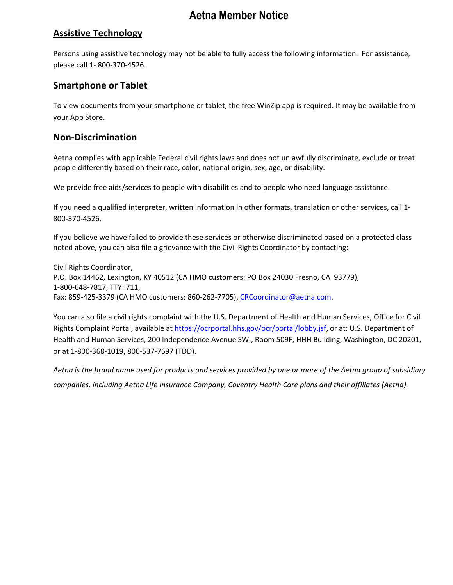# **Aetna Member Notice**

## **Assistive Technology**

Persons using assistive technology may not be able to fully access the following information. For assistance, please call 1- 800-370-4526.

### **Smartphone or Tablet**

To view documents from your smartphone or tablet, the free WinZip app is required. It may be available from your App Store.

#### **Non-Discrimination**

Aetna complies with applicable Federal civil rights laws and does not unlawfully discriminate, exclude or treat people differently based on their race, color, national origin, sex, age, or disability. 

We provide free aids/services to people with disabilities and to people who need language assistance.

If you need a qualified interpreter, written information in other formats, translation or other services, call 1- 800-370-4526.

If you believe we have failed to provide these services or otherwise discriminated based on a protected class noted above, you can also file a grievance with the Civil Rights Coordinator by contacting:

Civil Rights Coordinator, P.O. Box 14462, Lexington, KY 40512 (CA HMO customers: PO Box 24030 Fresno, CA  93779), 1-800-648-7817, TTY: 711, Fax: 859-425-3379 (CA HMO customers: 860-262-7705), [CRCoordinator@aetna.com.](http://epubdms.aetna.com/otcsdav/nodes/342485837/CRCoordinator%40aetna.com)

You can also file a civil rights complaint with the U.S. Department of Health and Human Services, Office for Civil Rights Complaint Portal, available at <https://ocrportal.hhs.gov/ocr/portal/lobby.jsf>, or at: U.S. Department of Health and Human Services, 200 Independence Avenue SW., Room 509F, HHH Building, Washington, DC 20201, or at 1-800-368-1019, 800-537-7697 (TDD).

*Aetna is the brand name used for products and services provided by one or more of the Aetna group of subsidiary companies, including Aetna Life Insurance Company, Coventry Health Care plans and their affiliates (Aetna).*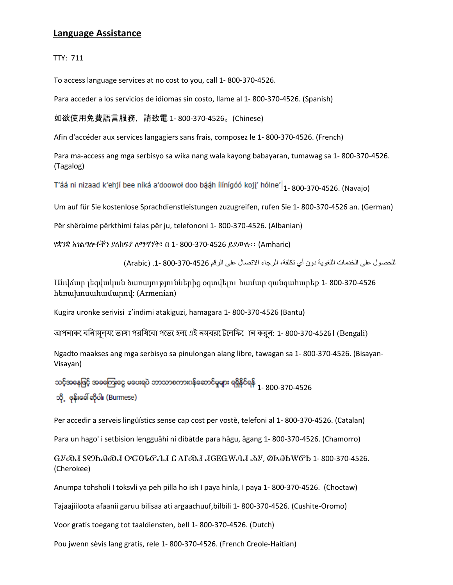### **Language Assistance**

TTY: 711

To access language services at no cost to you, call 1- 800-370-4526.

Para acceder a los servicios de idiomas sin costo, llame al 1- 800-370-4526. (Spanish)

如欲使用免費語言服務,請致電 1- 800-370-4526。(Chinese)

Afin d'accéder aux services langagiers sans frais, composez le 1- 800-370-4526. (French)

Para ma-access ang mga serbisyo sa wika nang wala kayong babayaran, tumawag sa 1- 800-370-4526. (Tagalog)

T'áá ni nizaad k'ehjí bee níká a'doowoł doo bááh ílínígóó koji' hólne' $\vert_{\rm 1^-}$ 800-370-4526. (Navajo)

Um auf für Sie kostenlose Sprachdienstleistungen zuzugreifen, rufen Sie 1- 800-370-4526 an. (German)

Për shërbime përkthimi falas për ju, telefononi 1- 800-370-4526. (Albanian)

የቋንቋ አገልግሎቶችን ያለክፍያ ለማግኘት፣ በ 1- 800-370-4526 ይደውሉ፡፡ (Amharic)

للحصول على الخدمات اللغویة دون أي تكلفة، الرجاء الاتصال على الرقم 800-370-4526 .1- (Arabic(

Անվճար լեզվական ծառայություններից օգտվելու համար զանգահարեք 1- 800-370-4526 հեռախոսահամարով: (Armenian)

Kugira uronke serivisi z'indimi atakiguzi, hamagara 1- 800-370-4526 (Bantu)

আপনাক েবলিামূল্য ভাষা পরস্বিবো পতে হেল এই নম্বর টেলেফি োন করুন: 1- 800-370-4526। (Bengali)

Ngadto maakses ang mga serbisyo sa pinulongan alang libre, tawagan sa 1- 800-370-4526. (Bisayan-Visayan)

သင့်အနေဖြင့် အခကြေးငွေ မပေးရပဲ ဘာသာစကားပန်ဆောင်မှုများ ရရှိနိုင်ရန် <sub>1 -</sub> 800-370-4526 သို့ ဖုန်းခေါ် ဆိုပါ။ (Burmese)

Per accedir a serveis lingüístics sense cap cost per vostè, telefoni al 1- 800-370-4526. (Catalan)

Para un hago' i setbision lengguåhi ni dibåtde para hågu, ågang 1- 800-370-4526. (Chamorro)

ᏩᎩᏍᏗ ᏚᏬᏂᎯᏍᏗ ᎤᏳᎾᏓᏛᏁᏗ Ꮭ ᎪᎱᏍᏗ ᏗᏣᎬᏩᎳᏁᏗ ᏱᎩ, ᏫᎨᎯᏏᎳᏛᏏ 1- 800-370-4526. (Cherokee)

Anumpa tohsholi I toksvli ya peh pilla ho ish I paya hinla, I paya 1- 800-370-4526. (Choctaw)

Tajaajiiloota afaanii garuu bilisaa ati argaachuuf,bilbili 1- 800-370-4526. (Cushite-Oromo)

Voor gratis toegang tot taaldiensten, bell 1- 800-370-4526. (Dutch)

Pou jwenn sèvis lang gratis, rele 1- 800-370-4526. (French Creole-Haitian)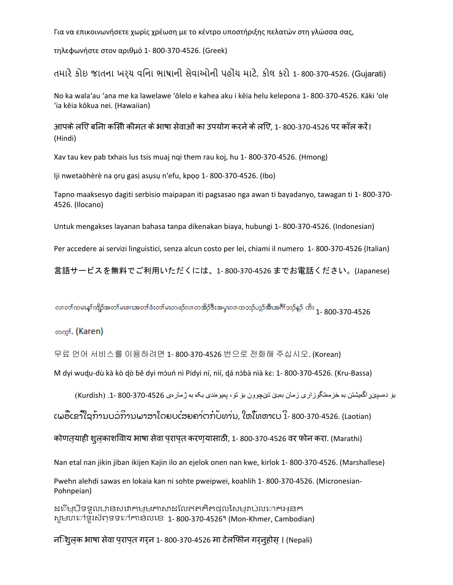Για να επικοινωνήσετε χωρίς χρέωση με το κέντρο υποστήριξης πελατών στη γλώσσα σας,

τηλεφωνήστε στον αριθμό 1- 800-370-4526. (Greek)

તમારેકોઇ જાતના ખર્ચ વિના ભાષાની સેવાઓની પહોંચ માટે, કોલ કરો 1- 800-370-4526. (Gujarati)

No ka walaʻau ʻana me ka lawelawe ʻōlelo e kahea aku i kēia helu kelepona 1- 800-370-4526. Kāki ʻole ʻia kēia kōkua nei. (Hawaiian)

आपके लएि बनिा कसिी कीमत के भाषा सेवाओं का उपयोग करने के लएि. 1- 800-370-4526 पर कॉल करें। (Hindi)

Xav tau kev pab txhais lus tsis muaj nqi them rau koj, hu 1- 800-370-4526. (Hmong)

Iji nwetaòhèrè na ọrụ gasị asụsụ n'efu, kpọọ 1- 800-370-4526. (Ibo)

Tapno maaksesyo dagiti serbisio maipapan iti pagsasao nga awan ti bayadanyo, tawagan ti 1- 800-370- 4526. (Ilocano)

Untuk mengakses layanan bahasa tanpa dikenakan biaya, hubungi 1- 800-370-4526. (Indonesian)

Per accedere ai servizi linguistici, senza alcun costo per lei, chiami il numero 1- 800-370-4526 (Italian)

言語サービスを無料でご利用いただくには、1- 800-370-4526 までお電話ください。(Japanese)

လာတကမေနကြိုာ်အတာ်မဖားအတာ်ဖီးတာ်မဟာဖဉ်လာတအိဉ်ဒီးအပ္ဒၤလာကဘုပ်ဘုံအီးအင်္ဂါဘဉ်နှဉ် ကိုး <sub>1-</sub> 800-370-4526

တက<sub>်</sub> (Karen)

무료 언어 서비스를 이용하려면 1- 800-370-4526 번으로 전화해 주십시오. (Korean)

Mì dyi wudu-dù kà kò dò bě dyi móuń nì Pídyi ní, nìí, dá nòɓà nìà kɛ: 1- 800-370-4526. (Kru-Bassa)

بۆ دەسپێڕاگەیشتن بە خزمەتگوزاری زمان بەبێ تێچوون بۆ تۆ، پەیوەندی بکە بە ژمارەی 800-370-4526 .1- (Kurdish(

ເພື່ອເຂົ້າໃຊ້ການບໍລິການພາສາໂດຍບໍ່ເສຍຄ່າຕໍ່ກັບທ່ານ, ໃຫ້ໂທຫາເບີ 1- 800-370-4526. (Laotian)

कोणत्याही शुल्काशिवाय भाषा सेवा प्राप्त करण्यासाठी, 1- 800-370-4526 वर फोन करा. (Marathi)

Nan etal nan jikin jiban ikijen Kajin ilo an ejelok onen nan kwe, kirlok 1- 800-370-4526. (Marshallese)

Pwehn alehdi sawas en lokaia kan ni sohte pweipwei, koahlih 1- 800-370-4526. (Micronesian-Pohnpeian)

ដើម្បីទទួលបានសេវាកម្មភាសាដែលឥតគិតថ្លៃសម្រាប់លោកអ្នក សូមហៅទូរស័ព្ទទៅកាន់លេខ 1- 800-370-4526។ (Mon-Khmer, Cambodian)

निःशुल्क भाषा सेवा प्राप्त गर्न 1- 800-370-4526 मा टेलिफोन गर्नुहोस्। (Nepali)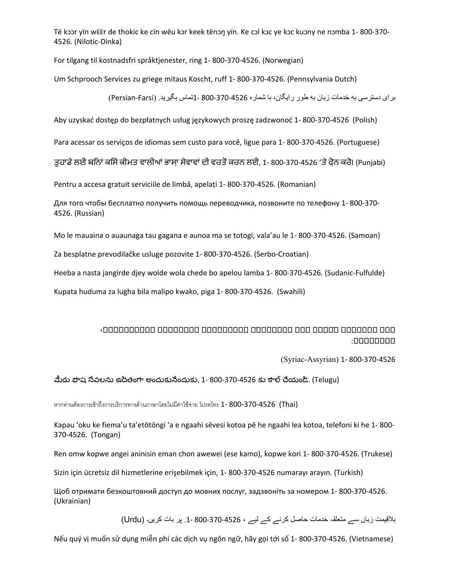Të kɔɔr yïn wɛ̈ɛ̈r de thokic ke cïn wëu kɔr keek tënɔŋ yïn. Ke cɔl kɔc ye kɔc kuɔny ne nɔmba 1- 800-370- 4526. (Nilotic-Dinka)

For tilgang til kostnadsfri språktjenester, ring 1- 800-370-4526. (Norwegian)

Um Schprooch Services zu griege mitaus Koscht, ruff 1- 800-370-4526. (Pennsylvania Dutch)

برای دسترسی به خدمات زبان به طور رایگان، با شماره 4526-370-800 -1تماس بگیرید. (Persian-Farsi)

Aby uzyskać dostęp do bezpłatnych usług językowych proszę zadzwonoć 1- 800-370-4526 (Polish)

Para acessar os serviços de idiomas sem custo para você, ligue para 1- 800-370-4526. (Portuguese)

ਤਹਾਡੇ ਲਈ ਬਨਿਾਂ ਕਸਿੇ ਕੀਮਤ ਵਾਲੀਆਂ ਭਾਸਾ ਸੇਵਾਵਾਂ ਦੀ ਵਰਤੋਂ ਕਰਨ ਲਈ, 1- 800-370-4526 'ਤੇ ਫੋਨ ਕਰੋ। (Punjabi)

Pentru a accesa gratuit serviciile de limbă, apelați 1- 800-370-4526. (Romanian)

Для того чтобы бесплатно получить помощь переводчика, позвоните по телефону 1- 800-370- 4526. (Russian)

Mo le mauaina o auaunaga tau gagana e aunoa ma se totogi, vala'au le 1- 800-370-4526. (Samoan)

Za besplatne prevodilačke usluge pozovite 1- 800-370-4526. (Serbo-Croatian)

Heeba a nasta jangirde djey wolde wola chede bo apelou lamba 1- 800-370-4526. (Sudanic-Fulfulde)

Kupata huduma za lugha bila malipo kwako, piga 1- 800-370-4526. (Swahili)

#### ܐܐܐ ܐܐܐܐܐܐܐ ܐ̄ܐܐܐܐ ܐܐܐ ܐܐܐܐܐܐܐ̈ܐ ܐܐܐܐܐܐܐܐܐ ܐܐܐܐܐܐܐܐ ܐܐܐܐܐܐܐܐܐܐ، ܐܐܐܐܐܐܐܐ:

(Syriac-Assyrian) 1- 800-370-4526

#### మీరు భాష సేవలను ఉచితంగా అందుకునేందుకు, 1- 800-370-4526 కు కాల్చేయండి. (Telugu)

หากท่านต้องการเข้าถึงการบริการทางด้านภาษาโดยไม่มีค่าใช้จ่าย โปรดโทร 1- 800-370-4526 (Thai)

Kapau 'oku ke fiema'u ta'etōtōngi 'a e ngaahi sēvesi kotoa pē he ngaahi lea kotoa, telefoni ki he 1- 800- 370-4526. (Tongan)

Ren omw kopwe angei aninisin eman chon awewei (ese kamo), kopwe kori 1- 800-370-4526. (Trukese)

Sizin için ücretsiz dil hizmetlerine erişebilmek için, 1- 800-370-4526 numarayı arayın. (Turkish)

Щоб отримати безкоштовний доступ до мовних послуг, задзвоніть за номером 1- 800-370-4526. (Ukrainian)

بلاقیمت زبان سے متعلقہ خدمات حاصل کرنے کے لیے ، 800-370-4526 .1- پر بات کریں۔ (Urdu(

Nếu quý vị muốn sử dụng miễn phí các dịch vụ ngôn ngữ, hãy gọi tới số 1- 800-370-4526. (Vietnamese)